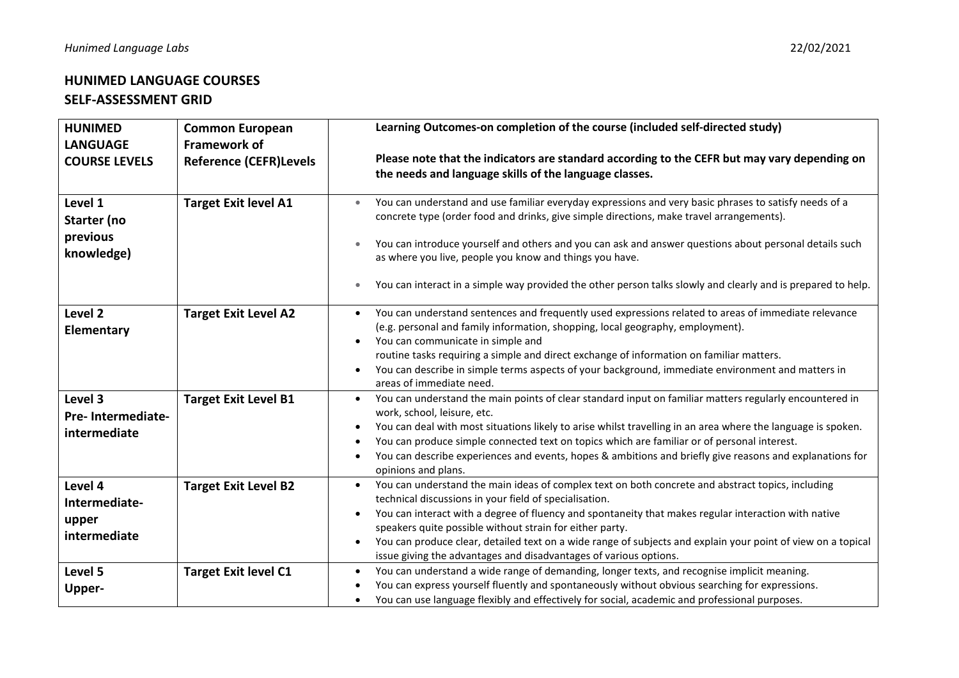## **HUNIMED LANGUAGE COURSES SELF-ASSESSMENT GRID**

| <b>HUNIMED</b>                                    | <b>Common European</b>                               | Learning Outcomes-on completion of the course (included self-directed study)                                                                                                                                                                                                                                                                                                                                                                                                                                                                   |
|---------------------------------------------------|------------------------------------------------------|------------------------------------------------------------------------------------------------------------------------------------------------------------------------------------------------------------------------------------------------------------------------------------------------------------------------------------------------------------------------------------------------------------------------------------------------------------------------------------------------------------------------------------------------|
| <b>LANGUAGE</b><br><b>COURSE LEVELS</b>           | <b>Framework of</b><br><b>Reference (CEFR)Levels</b> | Please note that the indicators are standard according to the CEFR but may vary depending on<br>the needs and language skills of the language classes.                                                                                                                                                                                                                                                                                                                                                                                         |
| Level 1<br>Starter (no<br>previous<br>knowledge)  | <b>Target Exit level A1</b>                          | You can understand and use familiar everyday expressions and very basic phrases to satisfy needs of a<br>concrete type (order food and drinks, give simple directions, make travel arrangements).<br>You can introduce yourself and others and you can ask and answer questions about personal details such<br>as where you live, people you know and things you have.<br>You can interact in a simple way provided the other person talks slowly and clearly and is prepared to help.<br>$\bullet$                                            |
| Level <sub>2</sub><br>Elementary                  | <b>Target Exit Level A2</b>                          | You can understand sentences and frequently used expressions related to areas of immediate relevance<br>(e.g. personal and family information, shopping, local geography, employment).<br>You can communicate in simple and<br>$\bullet$<br>routine tasks requiring a simple and direct exchange of information on familiar matters.<br>You can describe in simple terms aspects of your background, immediate environment and matters in<br>$\bullet$<br>areas of immediate need.                                                             |
| Level 3<br>Pre- Intermediate-<br>intermediate     | <b>Target Exit Level B1</b>                          | You can understand the main points of clear standard input on familiar matters regularly encountered in<br>work, school, leisure, etc.<br>You can deal with most situations likely to arise whilst travelling in an area where the language is spoken.<br>$\bullet$<br>You can produce simple connected text on topics which are familiar or of personal interest.<br>$\bullet$<br>You can describe experiences and events, hopes & ambitions and briefly give reasons and explanations for<br>opinions and plans.                             |
| Level 4<br>Intermediate-<br>upper<br>intermediate | <b>Target Exit Level B2</b>                          | You can understand the main ideas of complex text on both concrete and abstract topics, including<br>$\bullet$<br>technical discussions in your field of specialisation.<br>You can interact with a degree of fluency and spontaneity that makes regular interaction with native<br>$\bullet$<br>speakers quite possible without strain for either party.<br>You can produce clear, detailed text on a wide range of subjects and explain your point of view on a topical<br>issue giving the advantages and disadvantages of various options. |
| Level 5<br>Upper-                                 | <b>Target Exit level C1</b>                          | You can understand a wide range of demanding, longer texts, and recognise implicit meaning.<br>$\bullet$<br>You can express yourself fluently and spontaneously without obvious searching for expressions.<br>$\bullet$<br>You can use language flexibly and effectively for social, academic and professional purposes.                                                                                                                                                                                                                       |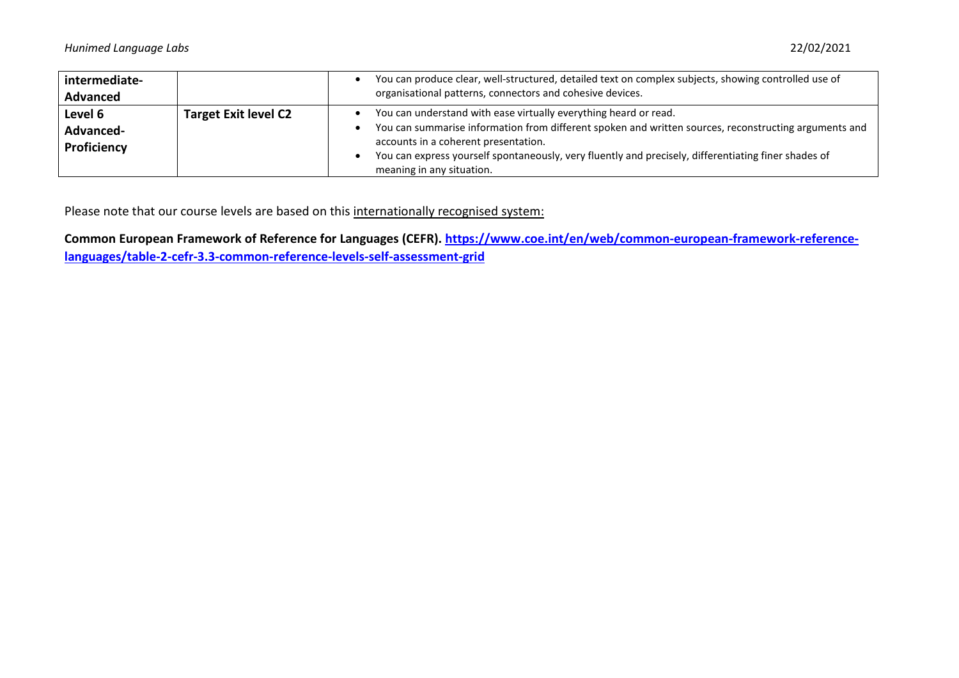| intermediate-<br><b>Advanced</b>    |                             | You can produce clear, well-structured, detailed text on complex subjects, showing controlled use of<br>organisational patterns, connectors and cohesive devices.                                                                                                                                                                                      |
|-------------------------------------|-----------------------------|--------------------------------------------------------------------------------------------------------------------------------------------------------------------------------------------------------------------------------------------------------------------------------------------------------------------------------------------------------|
| Level 6<br>Advanced-<br>Proficiency | <b>Target Exit level C2</b> | You can understand with ease virtually everything heard or read.<br>You can summarise information from different spoken and written sources, reconstructing arguments and<br>accounts in a coherent presentation.<br>You can express yourself spontaneously, very fluently and precisely, differentiating finer shades of<br>meaning in any situation. |

Please note that our course levels are based on this internationally recognised system:

**[Common European Framework of Reference for Languages \(CEFR\).](http://www.coe.int/t/dg4/linguistic/Cadre1_en.asp) [https://www.coe.int/en/web/common-european-framework-reference](https://www.coe.int/en/web/common-european-framework-reference-languages/table-2-cefr-3.3-common-reference-levels-self-assessment-grid)[languages/table-2-cefr-3.3-common-reference-levels-self-assessment-grid](https://www.coe.int/en/web/common-european-framework-reference-languages/table-2-cefr-3.3-common-reference-levels-self-assessment-grid)**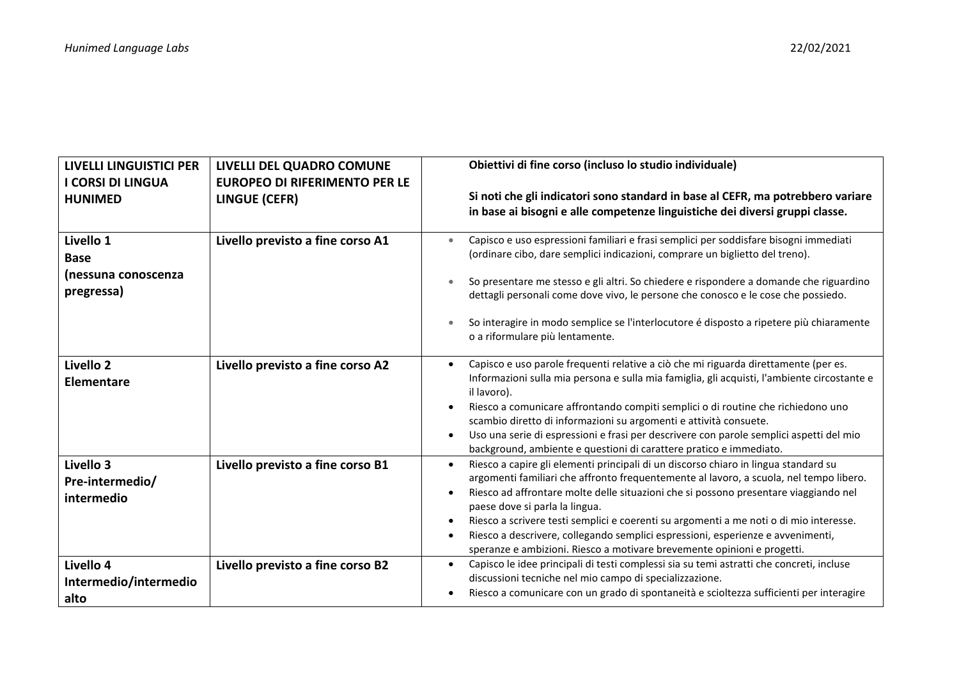| <b>LIVELLI LINGUISTICI PER</b><br><b>I CORSI DI LINGUA</b><br><b>HUNIMED</b> | LIVELLI DEL QUADRO COMUNE<br><b>EUROPEO DI RIFERIMENTO PER LE</b><br>LINGUE (CEFR) | Obiettivi di fine corso (incluso lo studio individuale)<br>Si noti che gli indicatori sono standard in base al CEFR, ma potrebbero variare<br>in base ai bisogni e alle competenze linguistiche dei diversi gruppi classe.                                                                                                                                                                                                                                                                                                                                                                             |
|------------------------------------------------------------------------------|------------------------------------------------------------------------------------|--------------------------------------------------------------------------------------------------------------------------------------------------------------------------------------------------------------------------------------------------------------------------------------------------------------------------------------------------------------------------------------------------------------------------------------------------------------------------------------------------------------------------------------------------------------------------------------------------------|
| Livello 1<br><b>Base</b><br>(nessuna conoscenza<br>pregressa)                | Livello previsto a fine corso A1                                                   | Capisco e uso espressioni familiari e frasi semplici per soddisfare bisogni immediati<br>$\bullet$<br>(ordinare cibo, dare semplici indicazioni, comprare un biglietto del treno).<br>So presentare me stesso e gli altri. So chiedere e rispondere a domande che riguardino<br>dettagli personali come dove vivo, le persone che conosco e le cose che possiedo.<br>So interagire in modo semplice se l'interlocutore é disposto a ripetere più chiaramente<br>o a riformulare più lentamente.                                                                                                        |
| Livello 2<br>Elementare                                                      | Livello previsto a fine corso A2                                                   | Capisco e uso parole frequenti relative a ciò che mi riguarda direttamente (per es.<br>Informazioni sulla mia persona e sulla mia famiglia, gli acquisti, l'ambiente circostante e<br>il lavoro).<br>Riesco a comunicare affrontando compiti semplici o di routine che richiedono uno<br>scambio diretto di informazioni su argomenti e attività consuete.<br>Uso una serie di espressioni e frasi per descrivere con parole semplici aspetti del mio<br>$\bullet$<br>background, ambiente e questioni di carattere pratico e immediato.                                                               |
| Livello 3<br>Pre-intermedio/<br>intermedio                                   | Livello previsto a fine corso B1                                                   | Riesco a capire gli elementi principali di un discorso chiaro in lingua standard su<br>$\bullet$<br>argomenti familiari che affronto frequentemente al lavoro, a scuola, nel tempo libero.<br>Riesco ad affrontare molte delle situazioni che si possono presentare viaggiando nel<br>$\bullet$<br>paese dove si parla la lingua.<br>Riesco a scrivere testi semplici e coerenti su argomenti a me noti o di mio interesse.<br>$\bullet$<br>Riesco a descrivere, collegando semplici espressioni, esperienze e avvenimenti,<br>speranze e ambizioni. Riesco a motivare brevemente opinioni e progetti. |
| Livello 4<br>Intermedio/intermedio<br>alto                                   | Livello previsto a fine corso B2                                                   | Capisco le idee principali di testi complessi sia su temi astratti che concreti, incluse<br>$\bullet$<br>discussioni tecniche nel mio campo di specializzazione.<br>Riesco a comunicare con un grado di spontaneità e scioltezza sufficienti per interagire                                                                                                                                                                                                                                                                                                                                            |